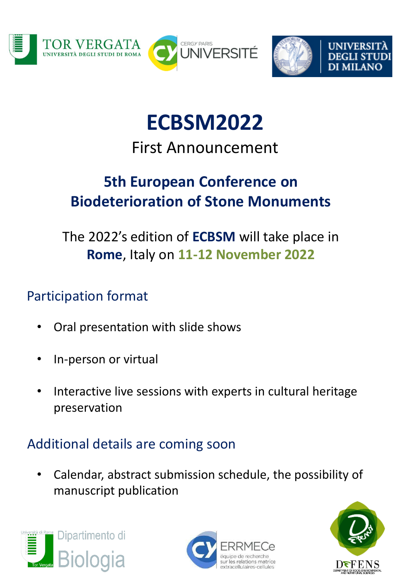





# **ECBSM2022**

### First Announcement

## **5th European Conference on Biodeterioration of Stone Monuments**

The 2022's edition of **ECBSM** will take place in **Rome**, Italy on **11-12 November 2022**

#### Participation format

- Oral presentation with slide shows
- In-person or virtual
- Interactive live sessions with experts in cultural heritage preservation

#### Additional details are coming soon

• Calendar, abstract submission schedule, the possibility of manuscript publication





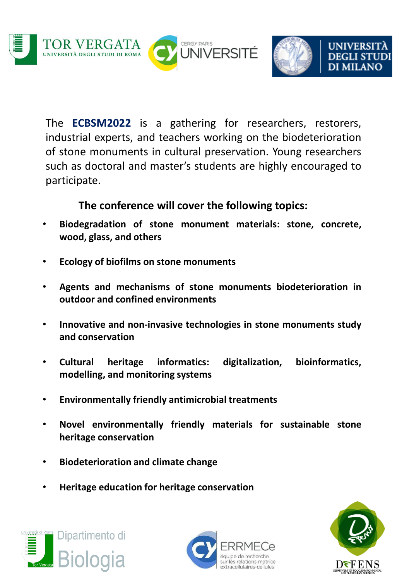



The **ECBSM2022** is a gathering for researchers, restorers, industrial experts, and teachers working on the biodeterioration of stone monuments in cultural preservation. Young researchers such as doctoral and master's students are highly encouraged to participate.

**The conference will cover the following topics:**

- **Biodegradation of stone monument materials: stone, concrete, wood, glass, and others**
- **Ecology of biofilms on stone monuments**
- **Agents and mechanisms of stone monuments biodeterioration in outdoor and confined environments**
- **Innovative and non-invasive technologies in stone monuments study and conservation**
- **Cultural heritage informatics: digitalization, bioinformatics, modelling, and monitoring systems**
- **Environmentally friendly antimicrobial treatments**
- **Novel environmentally friendly materials for sustainable stone heritage conservation**
- **Biodeterioration and climate change**
- **Heritage education for heritage conservation**